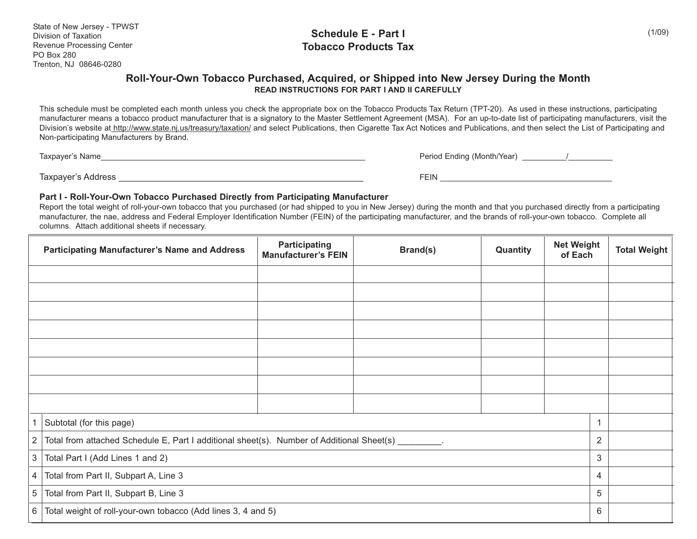#### **Schedule E - Part I Tobacco Products Tax**

#### **Roll-Your-Own Tobacco Purchased, Acquired, or Shipped into New Jersey During the Month READ INSTRUCTIONS FOR PART I AND II CAREFULLY**

This schedule must be completed each month unless you check the appropriate box on the Tobacco Products Tax Return (TPT-20). As used in these instructions, participating manufacturer means a tobacco product manufacturer that is a signatory to the Master Settlement Agreement (MSA). For an up-to-date list of participating manufacturers, visit the Division's website at http://www.state.nj.us/treasury/taxation/ and select Publications, then Cigarette Tax Act Notices and Publications, and then select the List of Participating and Non-participating Manufacturers by Brand.

Taxpayer's Name\_\_\_\_\_\_\_\_\_\_\_\_\_\_\_\_\_\_\_\_\_\_\_\_\_\_\_\_\_\_\_\_\_\_\_\_\_\_\_\_\_\_\_\_\_\_\_\_\_\_\_\_\_\_\_\_\_\_\_\_ Period Ending (Month/Year) \_\_\_\_\_\_\_\_\_\_/\_\_\_\_\_\_\_\_\_\_

Taxpayer's Address \_\_\_\_\_\_\_\_\_\_\_\_\_\_\_\_\_\_\_\_\_\_\_\_\_\_\_\_\_\_\_\_\_\_\_\_\_\_\_\_\_\_\_\_\_\_\_\_\_\_ FEIN \_\_\_\_\_\_\_\_\_\_\_\_\_\_\_\_\_\_\_\_\_\_\_\_\_\_\_\_\_\_\_\_\_\_\_\_\_\_\_

#### **Part I - Roll-Your-Own Tobacco Purchased Directly from Participating Manufacturer**

Report the total weight of roll-your-own tobacco that you purchased (or had shipped to you in New Jersey) during the month and that you purchased directly from a participating manufacturer, the nae, address and Federal Employer Identification Number (FEIN) of the participating manufacturer, and the brands of roll-your-own tobacco. Complete all columns. Attach additional sheets if necessary.

|                | <b>Participating Manufacturer's Name and Address</b>                                                | <b>Participating</b><br><b>Manufacturer's FEIN</b> | Brand(s) | Quantity | <b>Net Weight</b><br>of Each |             | <b>Total Weight</b> |
|----------------|-----------------------------------------------------------------------------------------------------|----------------------------------------------------|----------|----------|------------------------------|-------------|---------------------|
|                |                                                                                                     |                                                    |          |          |                              |             |                     |
|                |                                                                                                     |                                                    |          |          |                              |             |                     |
|                |                                                                                                     |                                                    |          |          |                              |             |                     |
|                |                                                                                                     |                                                    |          |          |                              |             |                     |
|                |                                                                                                     |                                                    |          |          |                              |             |                     |
|                |                                                                                                     |                                                    |          |          |                              |             |                     |
|                |                                                                                                     |                                                    |          |          |                              |             |                     |
|                |                                                                                                     |                                                    |          |          |                              |             |                     |
|                | Subtotal (for this page)                                                                            |                                                    |          |          |                              | $\mathbf 1$ |                     |
| 2              | Total from attached Schedule E, Part I additional sheet(s). Number of Additional Sheet(s) ________. |                                                    |          |          |                              |             |                     |
| $\sqrt{3}$     | Total Part I (Add Lines 1 and 2)                                                                    |                                                    |          |          |                              |             |                     |
| $\overline{4}$ | Total from Part II, Subpart A, Line 3                                                               |                                                    |          |          |                              |             |                     |
| $\overline{5}$ | Total from Part II, Subpart B, Line 3                                                               |                                                    |          |          |                              | 5           |                     |
| 6              | Total weight of roll-your-own tobacco (Add lines 3, 4 and 5)                                        |                                                    |          |          |                              | 6           |                     |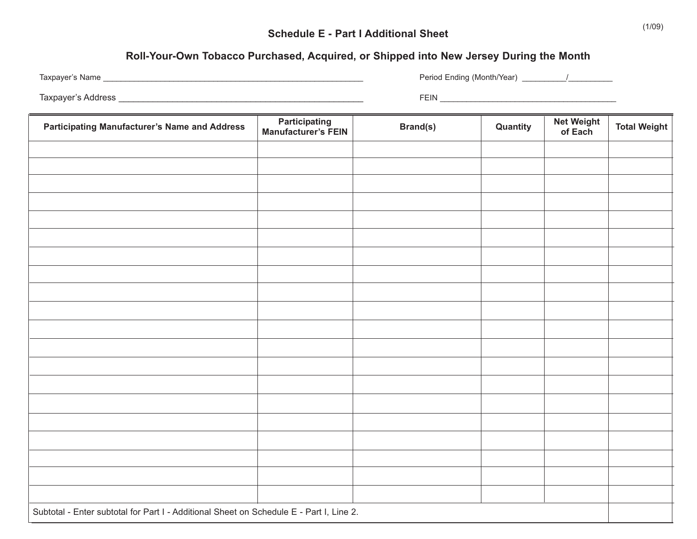# **Roll-Your-Own Tobacco Purchased, Acquired, or Shipped into New Jersey During the Month**

| Taxpayer's Name    |                      | Period Ending (Month/Year) |  |
|--------------------|----------------------|----------------------------|--|
| Taxpayer's Address |                      | <b>FEIN</b>                |  |
|                    | <b>Dortioinating</b> | Not Woight                 |  |

| <b>Participating Manufacturer's Name and Address</b>                                    | <b>Participating</b><br><b>Manufacturer's FEIN</b> | <b>Brand(s)</b> | Quantity | <b>Net Weight</b><br>of Each | <b>Total Weight</b> |  |
|-----------------------------------------------------------------------------------------|----------------------------------------------------|-----------------|----------|------------------------------|---------------------|--|
|                                                                                         |                                                    |                 |          |                              |                     |  |
|                                                                                         |                                                    |                 |          |                              |                     |  |
|                                                                                         |                                                    |                 |          |                              |                     |  |
|                                                                                         |                                                    |                 |          |                              |                     |  |
|                                                                                         |                                                    |                 |          |                              |                     |  |
|                                                                                         |                                                    |                 |          |                              |                     |  |
|                                                                                         |                                                    |                 |          |                              |                     |  |
|                                                                                         |                                                    |                 |          |                              |                     |  |
|                                                                                         |                                                    |                 |          |                              |                     |  |
|                                                                                         |                                                    |                 |          |                              |                     |  |
|                                                                                         |                                                    |                 |          |                              |                     |  |
|                                                                                         |                                                    |                 |          |                              |                     |  |
|                                                                                         |                                                    |                 |          |                              |                     |  |
|                                                                                         |                                                    |                 |          |                              |                     |  |
|                                                                                         |                                                    |                 |          |                              |                     |  |
|                                                                                         |                                                    |                 |          |                              |                     |  |
|                                                                                         |                                                    |                 |          |                              |                     |  |
|                                                                                         |                                                    |                 |          |                              |                     |  |
|                                                                                         |                                                    |                 |          |                              |                     |  |
|                                                                                         |                                                    |                 |          |                              |                     |  |
| Subtotal - Enter subtotal for Part I - Additional Sheet on Schedule E - Part I, Line 2. |                                                    |                 |          |                              |                     |  |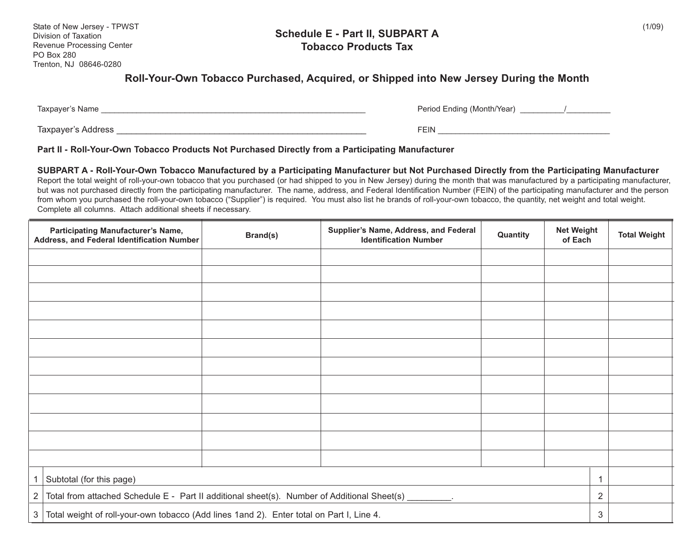#### **Schedule E - Part II, SUBPART A Tobacco Products Tax**

# **Roll-Your-Own Tobacco Purchased, Acquired, or Shipped into New Jersey During the Month**

Taxpayer's Name \_\_\_\_\_\_\_\_\_\_\_\_\_\_\_\_\_\_\_\_\_\_\_\_\_\_\_\_\_\_\_\_\_\_\_\_\_\_\_\_\_\_\_\_\_\_\_\_\_\_\_\_\_\_\_\_\_\_\_\_ Period Ending (Month/Year) \_\_\_\_\_\_\_\_\_\_/\_\_\_\_\_\_\_\_\_\_

| Period Ending (Month/Year) |  |
|----------------------------|--|
|----------------------------|--|

Taxpayer's Address \_\_\_\_\_\_\_\_\_\_\_\_\_\_\_\_\_\_\_\_\_\_\_\_\_\_\_\_\_\_\_\_\_\_\_\_\_\_\_\_\_\_\_\_\_\_\_\_\_\_\_ FEIN \_\_\_\_\_\_\_\_\_\_\_\_\_\_\_\_\_\_\_\_\_\_\_\_\_\_\_\_\_\_\_\_\_\_\_\_\_\_\_

#### **Part II - Roll-Your-Own Tobacco Products Not Purchased Directly from a Participating Manufacturer**

**SUBPART A - Roll-Your-Own Tobacco Manufactured by a Participating Manufacturer but Not Purchased Directly from the Participating Manufacturer** Report the total weight of roll-your-own tobacco that you purchased (or had shipped to you in New Jersey) during the month that was manufactured by a participating manufacturer, but was not purchased directly from the participating manufacturer. The name, address, and Federal Identification Number (FEIN) of the participating manufacturer and the person from whom you purchased the roll-your-own tobacco ("Supplier") is required. You must also list he brands of roll-your-own tobacco, the quantity, net weight and total weight. Complete all columns. Attach additional sheets if necessary.

|   | <b>Participating Manufacturer's Name,</b><br>Address, and Federal Identification Number                    | Brand(s) | Supplier's Name, Address, and Federal<br><b>Identification Number</b> | Quantity | <b>Net Weight</b><br>of Each |              | <b>Total Weight</b> |
|---|------------------------------------------------------------------------------------------------------------|----------|-----------------------------------------------------------------------|----------|------------------------------|--------------|---------------------|
|   |                                                                                                            |          |                                                                       |          |                              |              |                     |
|   |                                                                                                            |          |                                                                       |          |                              |              |                     |
|   |                                                                                                            |          |                                                                       |          |                              |              |                     |
|   |                                                                                                            |          |                                                                       |          |                              |              |                     |
|   |                                                                                                            |          |                                                                       |          |                              |              |                     |
|   |                                                                                                            |          |                                                                       |          |                              |              |                     |
|   |                                                                                                            |          |                                                                       |          |                              |              |                     |
|   |                                                                                                            |          |                                                                       |          |                              |              |                     |
|   |                                                                                                            |          |                                                                       |          |                              |              |                     |
|   |                                                                                                            |          |                                                                       |          |                              |              |                     |
|   |                                                                                                            |          |                                                                       |          |                              |              |                     |
|   |                                                                                                            |          |                                                                       |          |                              |              |                     |
|   | Subtotal (for this page)                                                                                   |          |                                                                       |          |                              | $\mathbf{1}$ |                     |
| 2 | Total from attached Schedule E - Part II additional sheet(s). Number of Additional Sheet(s) ________.      |          |                                                                       |          |                              |              |                     |
|   | 3 <sup>1</sup><br>Total weight of roll-your-own tobacco (Add lines 1and 2). Enter total on Part I, Line 4. |          |                                                                       |          |                              |              |                     |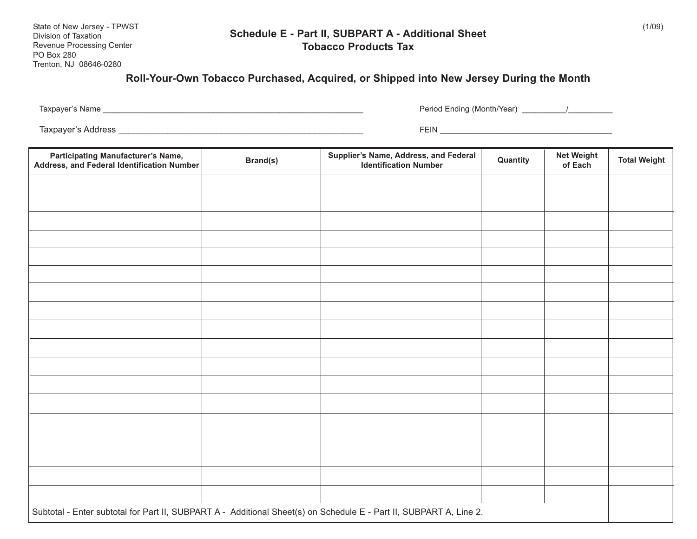#### **Schedule E - Part II, SUBPART A - Additional Sheet Tobacco Products Tax**

### **Roll-Your-Own Tobacco Purchased, Acquired, or Shipped into New Jersey During the Month**

Taxpayer's Name \_\_\_\_\_\_\_\_\_\_\_\_\_\_\_\_\_\_\_\_\_\_\_\_\_\_\_\_\_\_\_\_\_\_\_\_\_\_\_\_\_\_\_\_\_\_\_\_\_\_\_\_\_\_\_\_\_\_\_ Period Ending (Month/Year) \_\_\_\_\_\_\_\_\_\_/\_\_\_\_\_\_\_\_\_\_

Taxpayer's Address \_\_\_\_\_\_\_\_\_\_\_\_\_\_\_\_\_\_\_\_\_\_\_\_\_\_\_\_\_\_\_\_\_\_\_\_\_\_\_\_\_\_\_\_\_\_\_\_\_\_ FEIN \_\_\_\_\_\_\_\_\_\_\_\_\_\_\_\_\_\_\_\_\_\_\_\_\_\_\_\_\_\_\_\_\_\_\_\_\_\_\_

| <b>Participating Manufacturer's Name,</b><br>Address, and Federal Identification Number                            | Brand(s) | Supplier's Name, Address, and Federal<br><b>Identification Number</b> | Quantity | <b>Net Weight</b><br>of Each | <b>Total Weight</b> |
|--------------------------------------------------------------------------------------------------------------------|----------|-----------------------------------------------------------------------|----------|------------------------------|---------------------|
|                                                                                                                    |          |                                                                       |          |                              |                     |
|                                                                                                                    |          |                                                                       |          |                              |                     |
|                                                                                                                    |          |                                                                       |          |                              |                     |
|                                                                                                                    |          |                                                                       |          |                              |                     |
|                                                                                                                    |          |                                                                       |          |                              |                     |
|                                                                                                                    |          |                                                                       |          |                              |                     |
|                                                                                                                    |          |                                                                       |          |                              |                     |
|                                                                                                                    |          |                                                                       |          |                              |                     |
|                                                                                                                    |          |                                                                       |          |                              |                     |
|                                                                                                                    |          |                                                                       |          |                              |                     |
|                                                                                                                    |          |                                                                       |          |                              |                     |
|                                                                                                                    |          |                                                                       |          |                              |                     |
|                                                                                                                    |          |                                                                       |          |                              |                     |
|                                                                                                                    |          |                                                                       |          |                              |                     |
|                                                                                                                    |          |                                                                       |          |                              |                     |
|                                                                                                                    |          |                                                                       |          |                              |                     |
|                                                                                                                    |          |                                                                       |          |                              |                     |
|                                                                                                                    |          |                                                                       |          |                              |                     |
| Subtotal - Enter subtotal for Part II, SUBPART A - Additional Sheet(s) on Schedule E - Part II, SUBPART A, Line 2. |          |                                                                       |          |                              |                     |

 $(1/09)$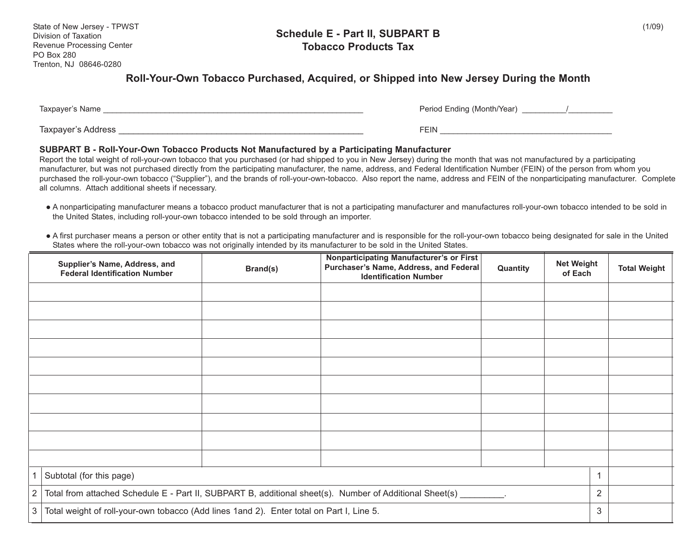#### **Schedule E - Part II, SUBPART B Tobacco Products Tax**

### **Roll-Your-Own Tobacco Purchased, Acquired, or Shipped into New Jersey During the Month**

| Taxpayer's Name    | Period Ending (Month/Year) |
|--------------------|----------------------------|
| Taxpayer's Address | FEIN                       |

#### **SUBPART B - Roll-Your-Own Tobacco Products Not Manufactured by a Participating Manufacturer**

Report the total weight of roll-your-own tobacco that you purchased (or had shipped to you in New Jersey) during the month that was not manufactured by a participating manufacturer, but was not purchased directly from the participating manufacturer, the name, address, and Federal Identification Number (FEIN) of the person from whom you purchased the roll-your-own tobacco ("Supplier"), and the brands of roll-your-own-tobacco. Also report the name, address and FEIN of the nonparticipating manufacturer. Complete all columns. Attach additional sheets if necessary.

- A nonparticipating manufacturer means a tobacco product manufacturer that is not a participating manufacturer and manufactures roll-your-own tobacco intended to be sold in the United States, including roll-your-own tobacco intended to be sold through an importer.
- A first purchaser means a person or other entity that is not a participating manufacturer and is responsible for the roll-your-own tobacco being designated for sale in the United States where the roll-your-own tobacco was not originally intended by its manufacturer to be sold in the United States.

|              | Supplier's Name, Address, and<br><b>Federal Identification Number</b>                                             | Brand(s) | Nonparticipating Manufacturer's or First<br>Purchaser's Name, Address, and Federal<br><b>Identification Number</b> | Quantity | <b>Net Weight</b><br>of Each |   | <b>Total Weight</b> |
|--------------|-------------------------------------------------------------------------------------------------------------------|----------|--------------------------------------------------------------------------------------------------------------------|----------|------------------------------|---|---------------------|
|              |                                                                                                                   |          |                                                                                                                    |          |                              |   |                     |
|              |                                                                                                                   |          |                                                                                                                    |          |                              |   |                     |
|              |                                                                                                                   |          |                                                                                                                    |          |                              |   |                     |
|              |                                                                                                                   |          |                                                                                                                    |          |                              |   |                     |
|              |                                                                                                                   |          |                                                                                                                    |          |                              |   |                     |
|              |                                                                                                                   |          |                                                                                                                    |          |                              |   |                     |
|              |                                                                                                                   |          |                                                                                                                    |          |                              |   |                     |
|              |                                                                                                                   |          |                                                                                                                    |          |                              |   |                     |
|              |                                                                                                                   |          |                                                                                                                    |          |                              |   |                     |
|              |                                                                                                                   |          |                                                                                                                    |          |                              |   |                     |
| 1            | Subtotal (for this page)                                                                                          |          |                                                                                                                    |          |                              |   |                     |
| 2            | Total from attached Schedule E - Part II, SUBPART B, additional sheet(s). Number of Additional Sheet(s) ________. |          |                                                                                                                    |          |                              |   |                     |
| $\mathbf{3}$ | Total weight of roll-your-own tobacco (Add lines 1and 2). Enter total on Part I, Line 5.                          |          |                                                                                                                    |          |                              | 3 |                     |